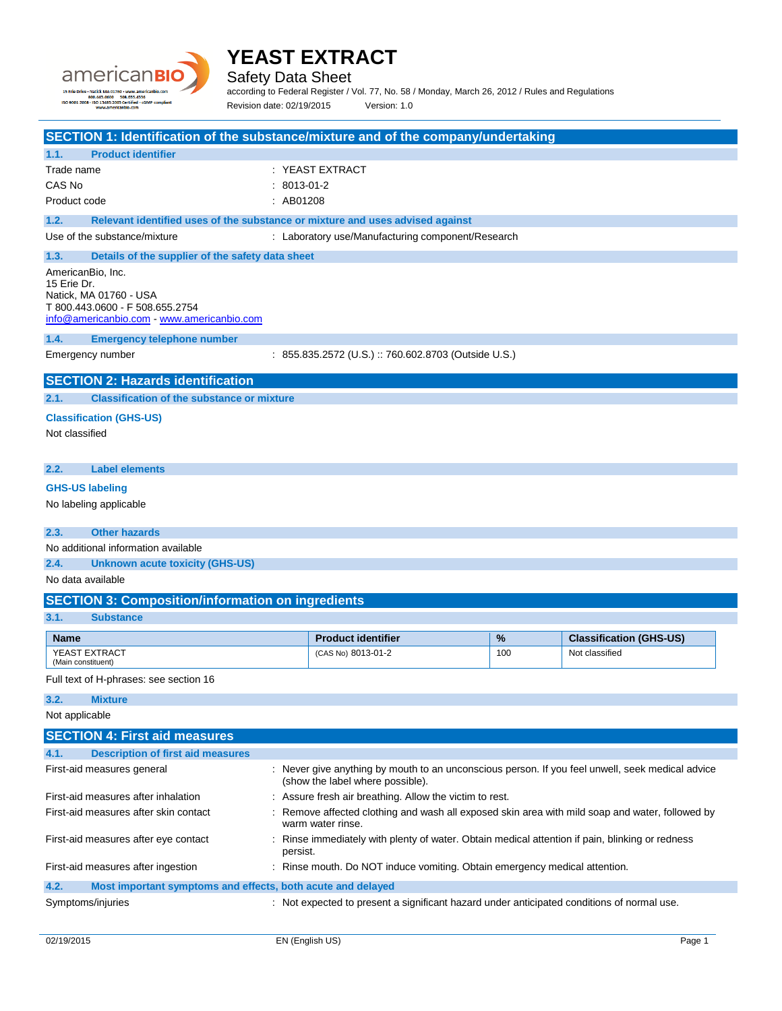

Safety Data Sheet

according to Federal Register / Vol. 77, No. 58 / Monday, March 26, 2012 / Rules and Regulations Revision date: 02/19/2015 Version: 1.0

**SECTION 1: Identification of the substance/mixture and of the company/undertaking 1.1. Product identifier** Trade name : YEAST EXTRACT CAS No : 8013-01-2 Product code : AB01208 **1.2. Relevant identified uses of the substance or mixture and uses advised against** Use of the substance/mixture : Laboratory use/Manufacturing component/Research **1.3. Details of the supplier of the safety data sheet** AmericanBio, Inc. 15 Erie Dr. Natick, MA 01760 - USA T 800.443.0600 - F 508.655.2754 [info@americanbio.com](mailto:info@americanbio.com) - <www.americanbio.com> **1.4. Emergency telephone number** Emergency number : 855.835.2572 (U.S.) :: 760.602.8703 (Outside U.S.) **SECTION 2: Hazards identification 2.1. Classification of the substance or mixture Classification (GHS-US)** Not classified **2.2. Label elements GHS-US labeling** No labeling applicable **2.3. Other hazards** No additional information available **2.4. Unknown acute toxicity (GHS-US)** No data available **SECTION 3: Composition/information on ingredients 3.1. Substance Name Product identifier Product identifier 1 % Classification (GHS-US)** YEAST EXTRACT (Main constituent) (CAS No) 8013-01-2 100 Not classified Full text of H-phrases: see section 16 **3.2. Mixture** Not applicable **SECTION 4: First aid measures 4.1. Description of first aid measures** First-aid measures general example and the state of the ver give anything by mouth to an unconscious person. If you feel unwell, seek medical advice (show the label where possible). First-aid measures after inhalation : Assure fresh air breathing. Allow the victim to rest. First-aid measures after skin contact : Remove affected clothing and wash all exposed skin area with mild soap and water, followed by warm water rinse. First-aid measures after eye contact : Rinse immediately with plenty of water. Obtain medical attention if pain, blinking or redness

First-aid measures after ingestion : Rinse mouth. Do NOT induce vomiting. Obtain emergency medical attention.

**4.2. Most important symptoms and effects, both acute and delayed**

persist.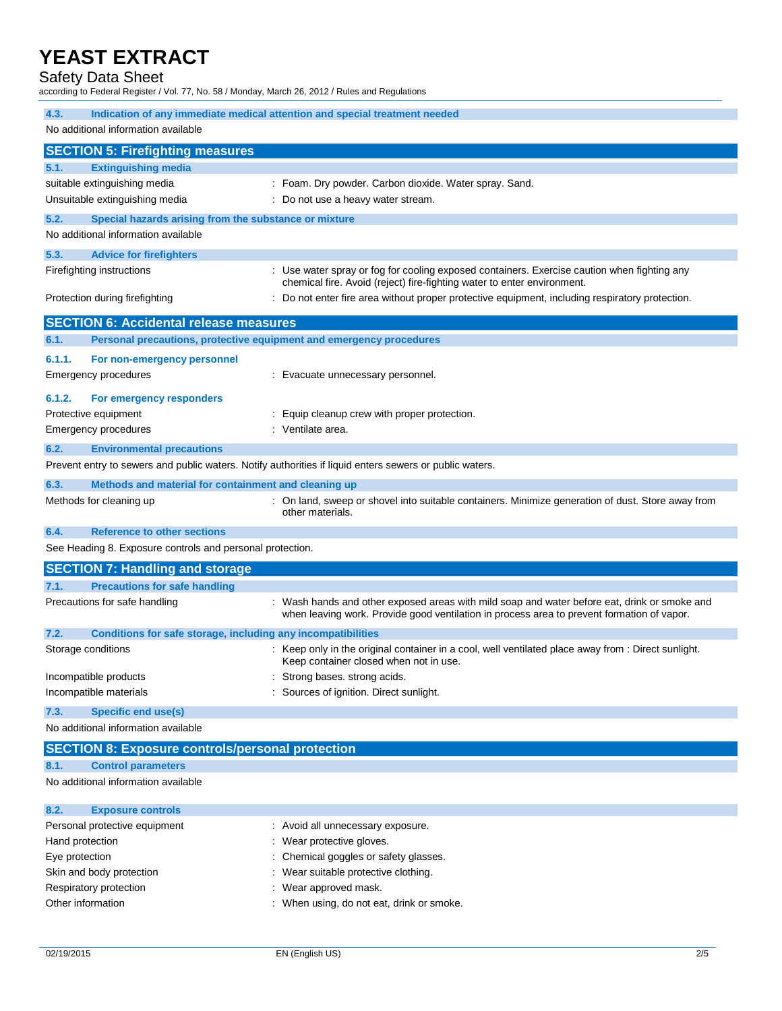## Safety Data Sheet

according to Federal Register / Vol. 77, No. 58 / Monday, March 26, 2012 / Rules and Regulations

| 4.3.                                                                        | Indication of any immediate medical attention and special treatment needed                                                                                                                 |
|-----------------------------------------------------------------------------|--------------------------------------------------------------------------------------------------------------------------------------------------------------------------------------------|
| No additional information available                                         |                                                                                                                                                                                            |
| <b>SECTION 5: Firefighting measures</b>                                     |                                                                                                                                                                                            |
| <b>Extinguishing media</b><br>5.1.                                          |                                                                                                                                                                                            |
| suitable extinguishing media                                                | : Foam. Dry powder. Carbon dioxide. Water spray. Sand.                                                                                                                                     |
| Unsuitable extinguishing media                                              | : Do not use a heavy water stream.                                                                                                                                                         |
| 5.2.<br>Special hazards arising from the substance or mixture               |                                                                                                                                                                                            |
| No additional information available                                         |                                                                                                                                                                                            |
| 5.3.<br><b>Advice for firefighters</b>                                      |                                                                                                                                                                                            |
| Firefighting instructions                                                   | : Use water spray or fog for cooling exposed containers. Exercise caution when fighting any<br>chemical fire. Avoid (reject) fire-fighting water to enter environment.                     |
| Protection during firefighting                                              | : Do not enter fire area without proper protective equipment, including respiratory protection.                                                                                            |
| <b>SECTION 6: Accidental release measures</b>                               |                                                                                                                                                                                            |
| 6.1.<br>Personal precautions, protective equipment and emergency procedures |                                                                                                                                                                                            |
| 6.1.1.<br>For non-emergency personnel                                       |                                                                                                                                                                                            |
| Emergency procedures                                                        | : Evacuate unnecessary personnel.                                                                                                                                                          |
| 6.1.2.<br>For emergency responders                                          |                                                                                                                                                                                            |
| Protective equipment                                                        | : Equip cleanup crew with proper protection.                                                                                                                                               |
| <b>Emergency procedures</b>                                                 | : Ventilate area.                                                                                                                                                                          |
| 6.2.<br><b>Environmental precautions</b>                                    |                                                                                                                                                                                            |
|                                                                             | Prevent entry to sewers and public waters. Notify authorities if liquid enters sewers or public waters.                                                                                    |
| 6.3.<br>Methods and material for containment and cleaning up                |                                                                                                                                                                                            |
| Methods for cleaning up                                                     | : On land, sweep or shovel into suitable containers. Minimize generation of dust. Store away from<br>other materials.                                                                      |
| 6.4.<br><b>Reference to other sections</b>                                  |                                                                                                                                                                                            |
| See Heading 8. Exposure controls and personal protection.                   |                                                                                                                                                                                            |
| <b>SECTION 7: Handling and storage</b>                                      |                                                                                                                                                                                            |
| <b>Precautions for safe handling</b><br>7.1.                                |                                                                                                                                                                                            |
| Precautions for safe handling                                               | : Wash hands and other exposed areas with mild soap and water before eat, drink or smoke and<br>when leaving work. Provide good ventilation in process area to prevent formation of vapor. |
| 7.2.<br>Conditions for safe storage, including any incompatibilities        |                                                                                                                                                                                            |
| Storage conditions                                                          | Keep only in the original container in a cool, well ventilated place away from : Direct sunlight.<br>Keep container closed when not in use.                                                |
| Incompatible products                                                       | Strong bases. strong acids.                                                                                                                                                                |
| Incompatible materials                                                      | : Sources of ignition. Direct sunlight.                                                                                                                                                    |
| <b>Specific end use(s)</b><br>7.3.                                          |                                                                                                                                                                                            |
| No additional information available                                         |                                                                                                                                                                                            |
| <b>SECTION 8: Exposure controls/personal protection</b>                     |                                                                                                                                                                                            |
| <b>Control parameters</b><br>8.1.                                           |                                                                                                                                                                                            |
| No additional information available                                         |                                                                                                                                                                                            |
| 8.2.<br><b>Exposure controls</b>                                            |                                                                                                                                                                                            |

| Personal protective equipment | : Avoid all unnecessary exposure.         |
|-------------------------------|-------------------------------------------|
| Hand protection               | : Wear protective gloves.                 |
| Eye protection                | : Chemical goggles or safety glasses.     |
| Skin and body protection      | : Wear suitable protective clothing.      |
| Respiratory protection        | : Wear approved mask.                     |
| Other information             | : When using, do not eat, drink or smoke. |
|                               |                                           |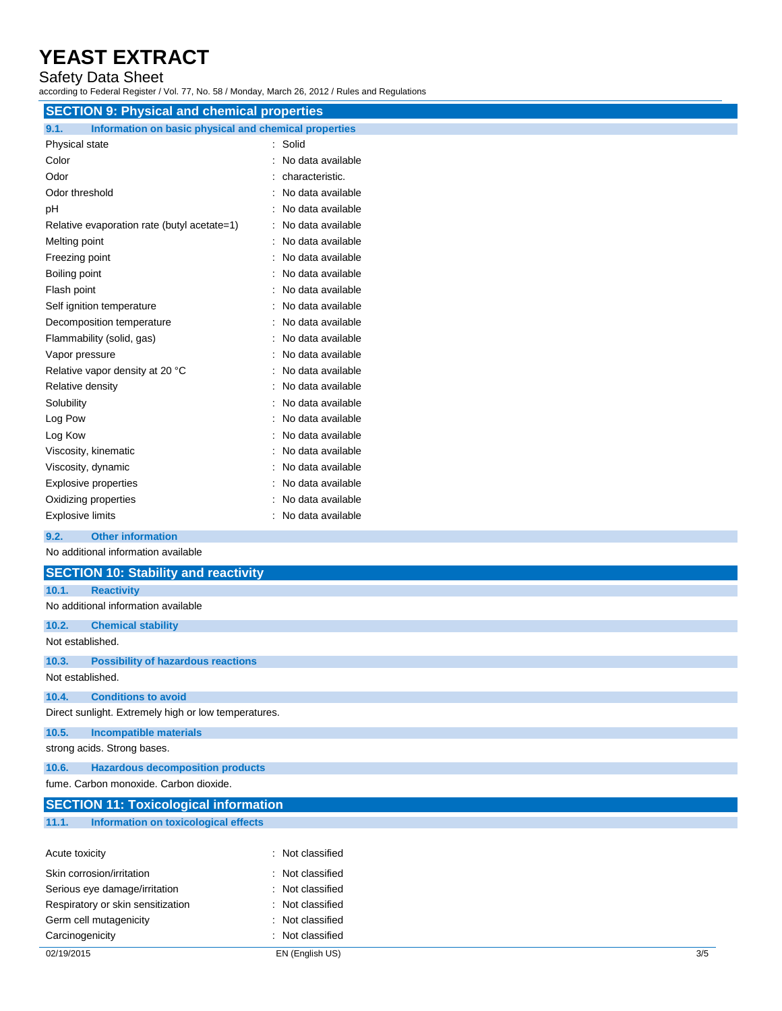## Safety Data Sheet

according to Federal Register / Vol. 77, No. 58 / Monday, March 26, 2012 / Rules and Regulations

| <b>SECTION 9: Physical and chemical properties</b>            |                   |
|---------------------------------------------------------------|-------------------|
| 9.1.<br>Information on basic physical and chemical properties |                   |
| Physical state                                                | : Solid           |
| Color                                                         | No data available |
| Odor                                                          | characteristic.   |
| Odor threshold                                                | No data available |
| рH                                                            | No data available |
| Relative evaporation rate (butyl acetate=1)                   | No data available |
| Melting point                                                 | No data available |
| Freezing point                                                | No data available |
| Boiling point                                                 | No data available |
| Flash point                                                   | No data available |
| Self ignition temperature                                     | No data available |
| Decomposition temperature                                     | No data available |
| Flammability (solid, gas)                                     | No data available |
| Vapor pressure                                                | No data available |
| Relative vapor density at 20 °C                               | No data available |
| Relative density                                              | No data available |
| Solubility                                                    | No data available |
| Log Pow                                                       | No data available |
| Log Kow                                                       | No data available |
| Viscosity, kinematic                                          | No data available |
| Viscosity, dynamic                                            | No data available |
| <b>Explosive properties</b>                                   | No data available |
| Oxidizing properties                                          | No data available |
| <b>Explosive limits</b>                                       | No data available |
| 9.2.<br><b>Other information</b>                              |                   |
| No additional information available                           |                   |

|                  | <b>SECTION 10: Stability and reactivity</b>          |
|------------------|------------------------------------------------------|
| 10.1.            | <b>Reactivity</b>                                    |
|                  | No additional information available                  |
| 10.2.            | <b>Chemical stability</b>                            |
| Not established. |                                                      |
| 10.3.            | <b>Possibility of hazardous reactions</b>            |
| Not established. |                                                      |
| 10.4.            | <b>Conditions to avoid</b>                           |
|                  | Direct sunlight. Extremely high or low temperatures. |
| 10.5.            | <b>Incompatible materials</b>                        |
|                  | strong acids. Strong bases.                          |
| 10.6.            | <b>Hazardous decomposition products</b>              |
|                  | fume. Carbon monoxide. Carbon dioxide.               |
|                  | <b>SECTION 11: Toxicological information</b>         |
| 11.1.            | Information on toxicological effects                 |

| Acute toxicity                    | : Not classified |     |
|-----------------------------------|------------------|-----|
| Skin corrosion/irritation         | : Not classified |     |
| Serious eye damage/irritation     | : Not classified |     |
| Respiratory or skin sensitization | : Not classified |     |
| Germ cell mutagenicity            | : Not classified |     |
| Carcinogenicity                   | : Not classified |     |
| 02/19/2015                        | EN (English US)  | 3/5 |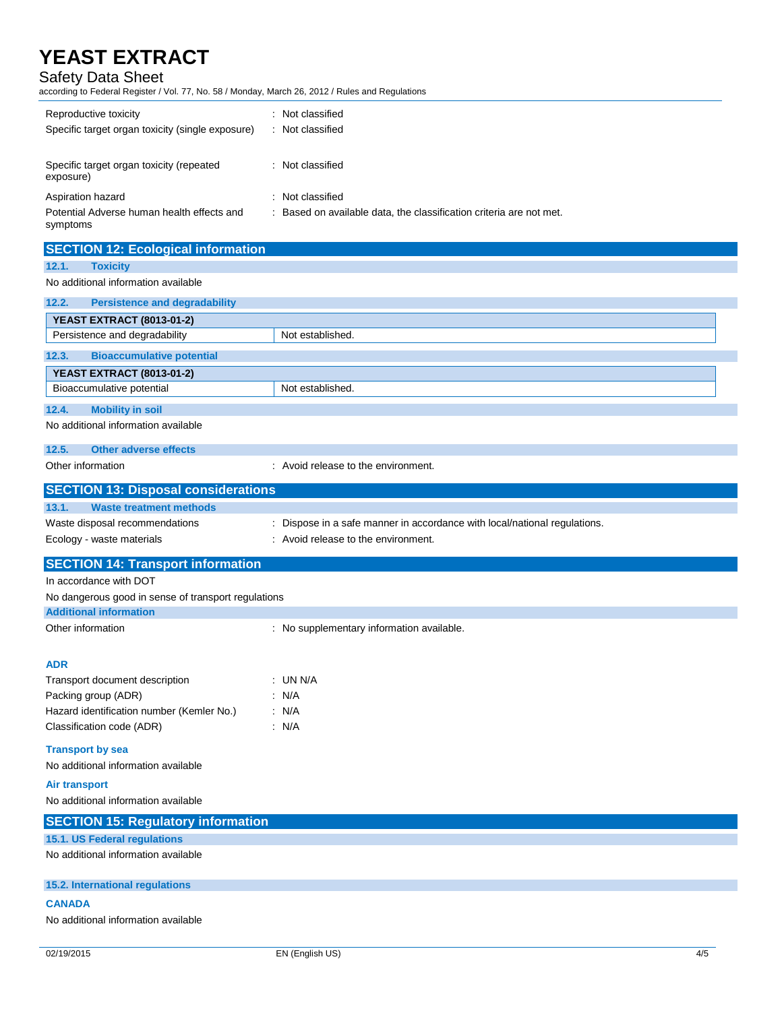## Safety Data Sheet

according to Federal Register / Vol. 77, No. 58 / Monday, March 26, 2012 / Rules and Regulations

| Reproductive toxicity<br>Specific target organ toxicity (single exposure) | Not classified<br>Not classified                                  |
|---------------------------------------------------------------------------|-------------------------------------------------------------------|
| Specific target organ toxicity (repeated<br>exposure)                     | : Not classified                                                  |
| Aspiration hazard                                                         | : Not classified                                                  |
| Potential Adverse human health effects and<br>symptoms                    | Based on available data, the classification criteria are not met. |

| <b>SECTION 12: Ecological information</b>           |                                                                           |
|-----------------------------------------------------|---------------------------------------------------------------------------|
| 12.1.<br><b>Toxicity</b>                            |                                                                           |
| No additional information available                 |                                                                           |
| 12.2.<br><b>Persistence and degradability</b>       |                                                                           |
| <b>YEAST EXTRACT (8013-01-2)</b>                    |                                                                           |
| Persistence and degradability                       | Not established.                                                          |
| 12.3.<br><b>Bioaccumulative potential</b>           |                                                                           |
| <b>YEAST EXTRACT (8013-01-2)</b>                    |                                                                           |
| Bioaccumulative potential                           | Not established.                                                          |
| 12.4.<br><b>Mobility in soil</b>                    |                                                                           |
| No additional information available                 |                                                                           |
| 12.5.<br><b>Other adverse effects</b>               |                                                                           |
| Other information                                   | : Avoid release to the environment.                                       |
| <b>SECTION 13: Disposal considerations</b>          |                                                                           |
| 13.1.<br><b>Waste treatment methods</b>             |                                                                           |
| Waste disposal recommendations                      | : Dispose in a safe manner in accordance with local/national regulations. |
| Ecology - waste materials                           | : Avoid release to the environment.                                       |
| <b>SECTION 14: Transport information</b>            |                                                                           |
| In accordance with DOT                              |                                                                           |
| No dangerous good in sense of transport regulations |                                                                           |
| <b>Additional information</b>                       |                                                                           |
| Other information                                   | : No supplementary information available.                                 |
|                                                     |                                                                           |
| <b>ADR</b>                                          |                                                                           |
| Transport document description                      | : UN N/A                                                                  |
| Packing group (ADR)                                 | : N/A                                                                     |
| Hazard identification number (Kemler No.)           | : N/A                                                                     |
| Classification code (ADR)                           | : N/A                                                                     |
| <b>Transport by sea</b>                             |                                                                           |
| No additional information available                 |                                                                           |
| <b>Air transport</b>                                |                                                                           |
| No additional information available                 |                                                                           |
| <b>SECTION 15: Regulatory information</b>           |                                                                           |
| <b>15.1. US Federal regulations</b>                 |                                                                           |
| No additional information available                 |                                                                           |
| <b>15.2. International regulations</b>              |                                                                           |
|                                                     |                                                                           |

No additional information available